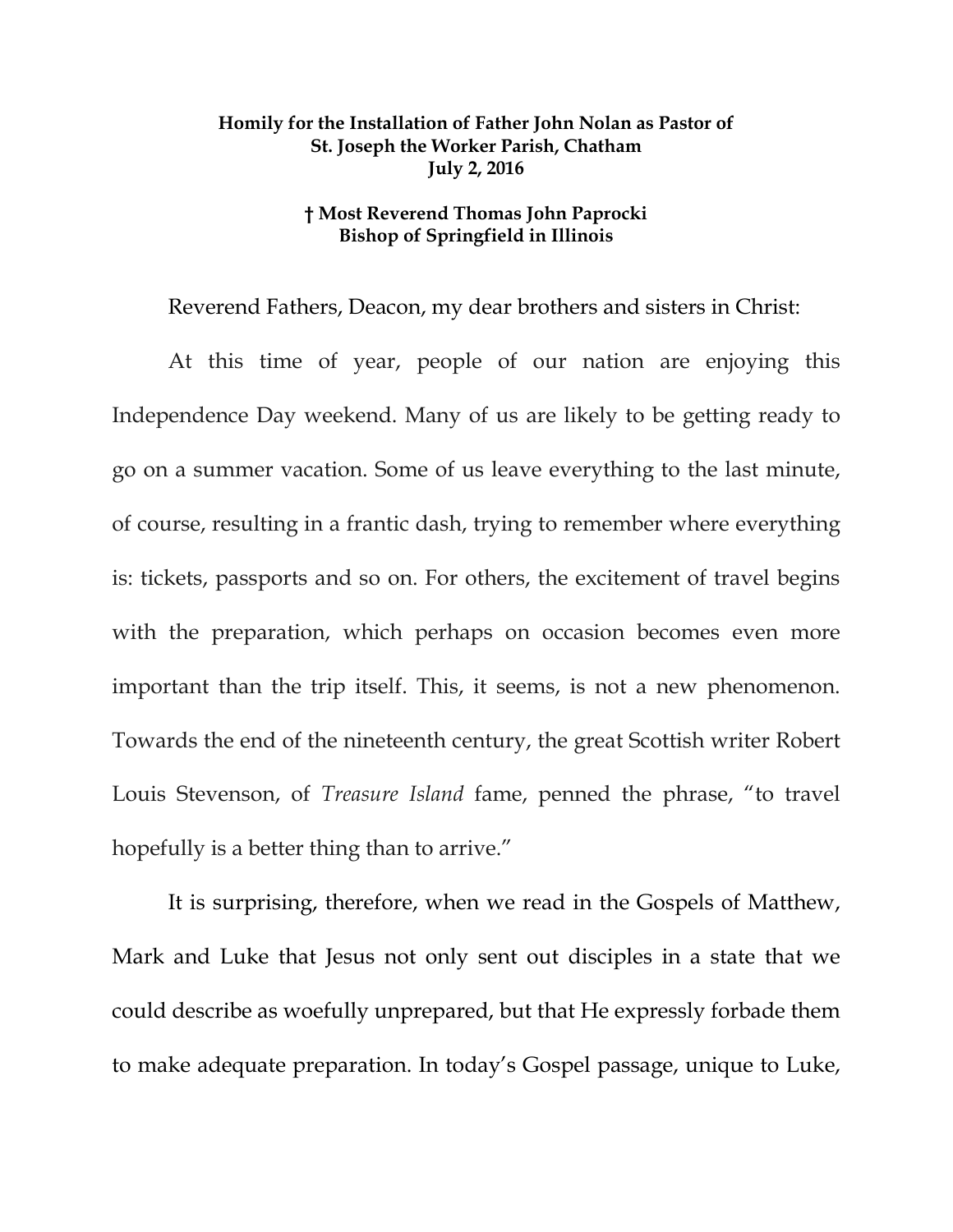## **Homily for the Installation of Father John Nolan as Pastor of St. Joseph the Worker Parish, Chatham July 2, 2016**

## **† Most Reverend Thomas John Paprocki Bishop of Springfield in Illinois**

Reverend Fathers, Deacon, my dear brothers and sisters in Christ:

At this time of year, people of our nation are enjoying this Independence Day weekend. Many of us are likely to be getting ready to go on a summer vacation. Some of us leave everything to the last minute, of course, resulting in a frantic dash, trying to remember where everything is: tickets, passports and so on. For others, the excitement of travel begins with the preparation, which perhaps on occasion becomes even more important than the trip itself. This, it seems, is not a new phenomenon. Towards the end of the nineteenth century, the great Scottish writer Robert Louis Stevenson, of *Treasure Island* fame, penned the phrase, "to travel hopefully is a better thing than to arrive."

It is surprising, therefore, when we read in the Gospels of Matthew, Mark and Luke that Jesus not only sent out disciples in a state that we could describe as woefully unprepared, but that He expressly forbade them to make adequate preparation. In today's Gospel passage, unique to Luke,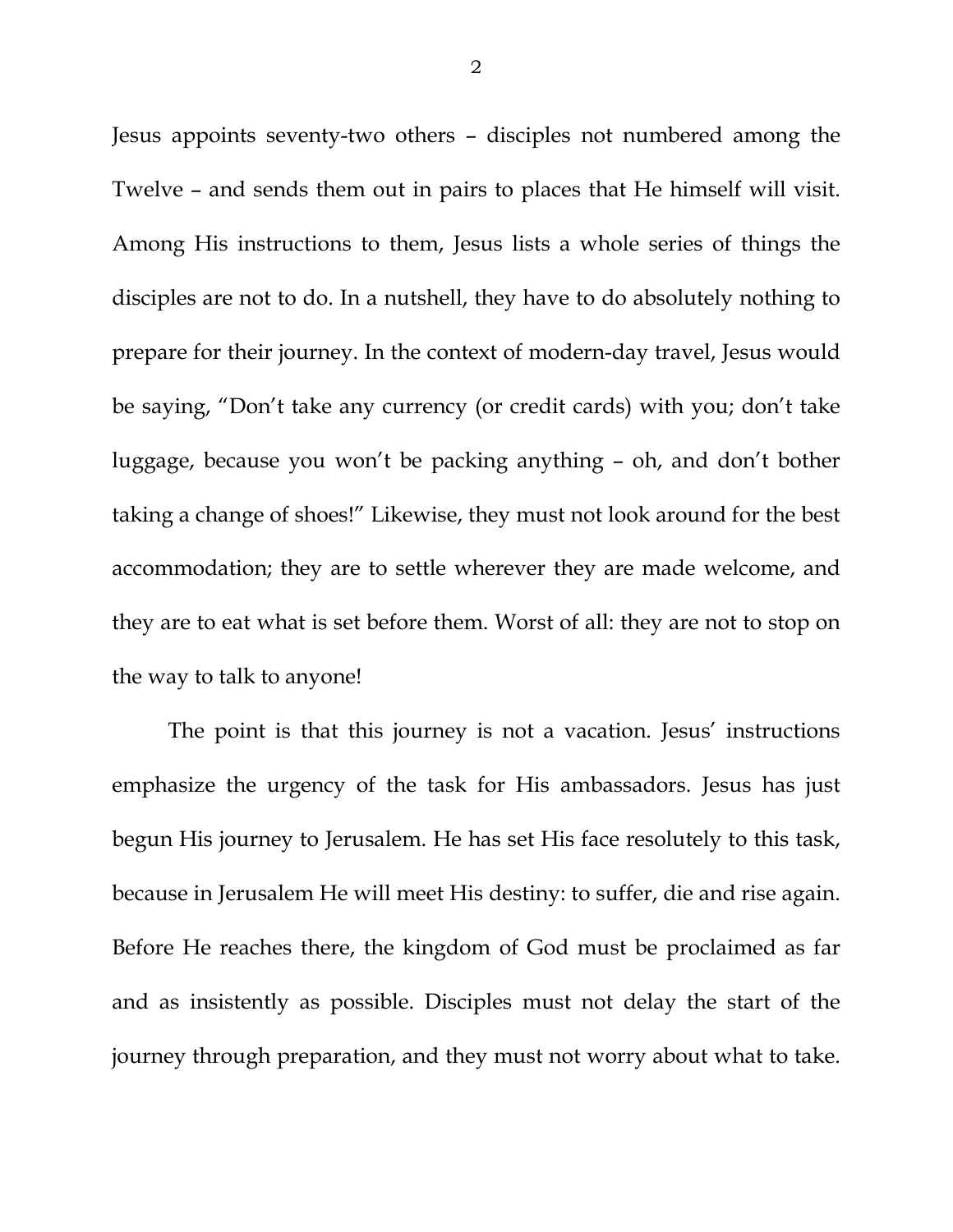Jesus appoints seventy-two others – disciples not numbered among the Twelve – and sends them out in pairs to places that He himself will visit. Among His instructions to them, Jesus lists a whole series of things the disciples are not to do. In a nutshell, they have to do absolutely nothing to prepare for their journey. In the context of modern-day travel, Jesus would be saying, "Don't take any currency (or credit cards) with you; don't take luggage, because you won't be packing anything – oh, and don't bother taking a change of shoes!" Likewise, they must not look around for the best accommodation; they are to settle wherever they are made welcome, and they are to eat what is set before them. Worst of all: they are not to stop on the way to talk to anyone!

The point is that this journey is not a vacation. Jesus' instructions emphasize the urgency of the task for His ambassadors. Jesus has just begun His journey to Jerusalem. He has set His face resolutely to this task, because in Jerusalem He will meet His destiny: to suffer, die and rise again. Before He reaches there, the kingdom of God must be proclaimed as far and as insistently as possible. Disciples must not delay the start of the journey through preparation, and they must not worry about what to take.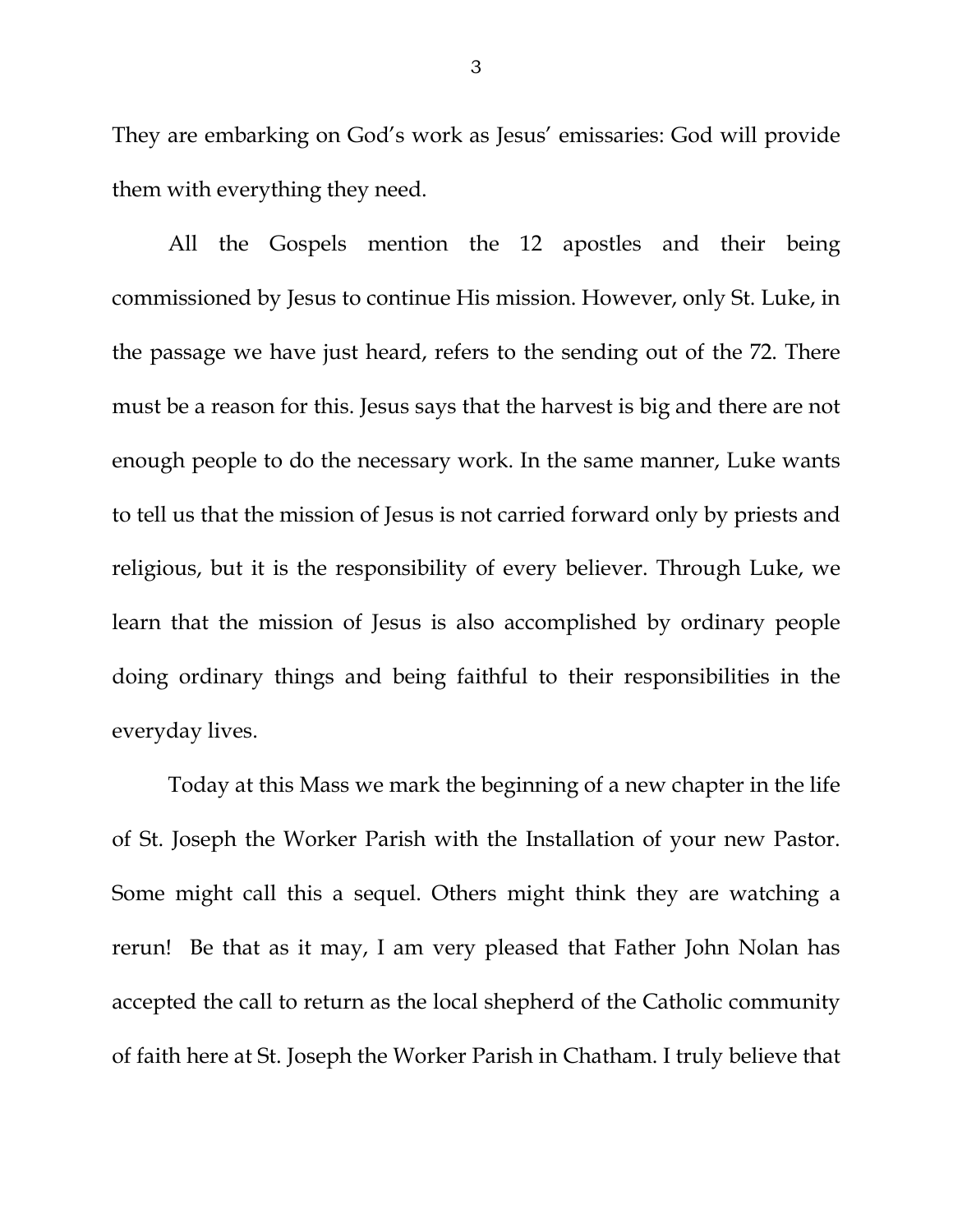They are embarking on God's work as Jesus' emissaries: God will provide them with everything they need.

<span id="page-2-0"></span>All the Gospels mention the 12 apostles and their being commissioned by Jesus to continue His mission. However, only St. Luke, in the passage we have just heard, refers to the sending out of the 72. There must be a reason for this. Jesus says that the harvest is big and there are not enough people to do the necessary work. In the same manner, Luke wants to tell us that the mission of Jesus is not carried forward only by priests and religious, but it is the responsibility of every believer. Through Luke, we learn that the mission of Jesus is also accomplished by ordinary people doing ordinary things and being faithful to their responsibilities in the everyday lives.

Today at this Mass we mark the beginning of a new chapter in the life of St. Joseph the Worker Parish with the Installation of your new Pastor. Some might call this a sequel. Others might think they are watching a rerun! Be that as it may, I am very pleased that Father John Nolan has accepted the call to return as the local shepherd of the Catholic community of faith here at St. Joseph the Worker Parish in Chatham. I truly believe that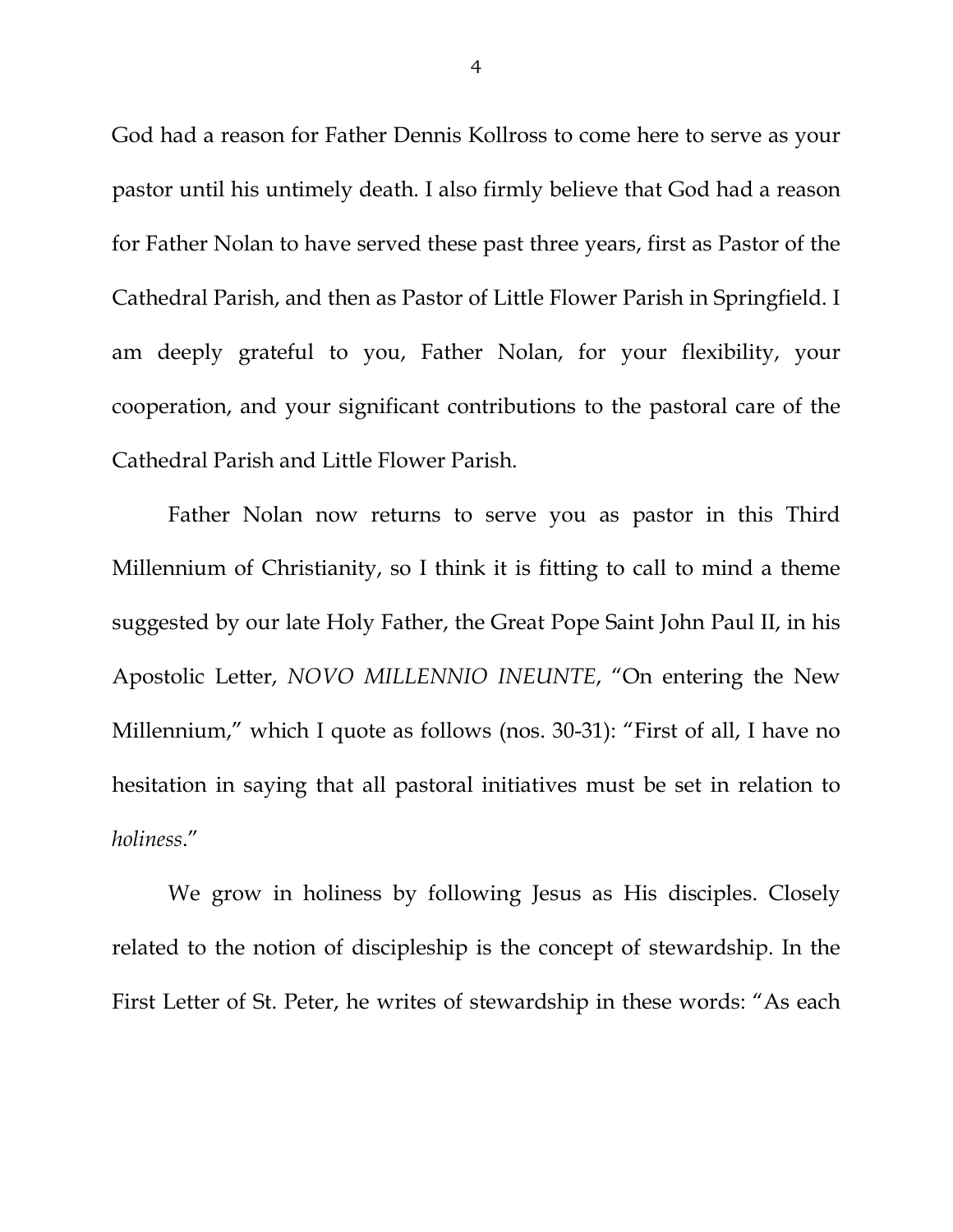God had a reason for Father Dennis Kollross to come here to serve as your pastor until his untimely death. I also firmly believe that God had a reason for Father Nolan to have served these past three years, first as Pastor of the Cathedral Parish, and then as Pastor of Little Flower Parish in Springfield. I am deeply grateful to you, Father Nolan, for your flexibility, your cooperation, and your significant contributions to the pastoral care of the Cathedral Parish and Little Flower Parish.

Father Nolan now returns to serve you as pastor in this Third Millennium of Christianity, so I think it is fitting to call to mind a theme suggested by our late Holy Father, the Great Pope Saint John Paul II, in his Apostolic Letter, *NOVO MILLENNIO INEUNTE*, "On entering the New Millennium," which I quote as follows (nos. 30-31): "First of all, I have no hesitation in saying that all pastoral initiatives must be set in relation to *holiness*."

We grow in holiness by following Jesus as His disciples. Closely related to the notion of discipleship is the concept of stewardship. In the First Letter of St. Peter, he writes of stewardship in these words: "As each

4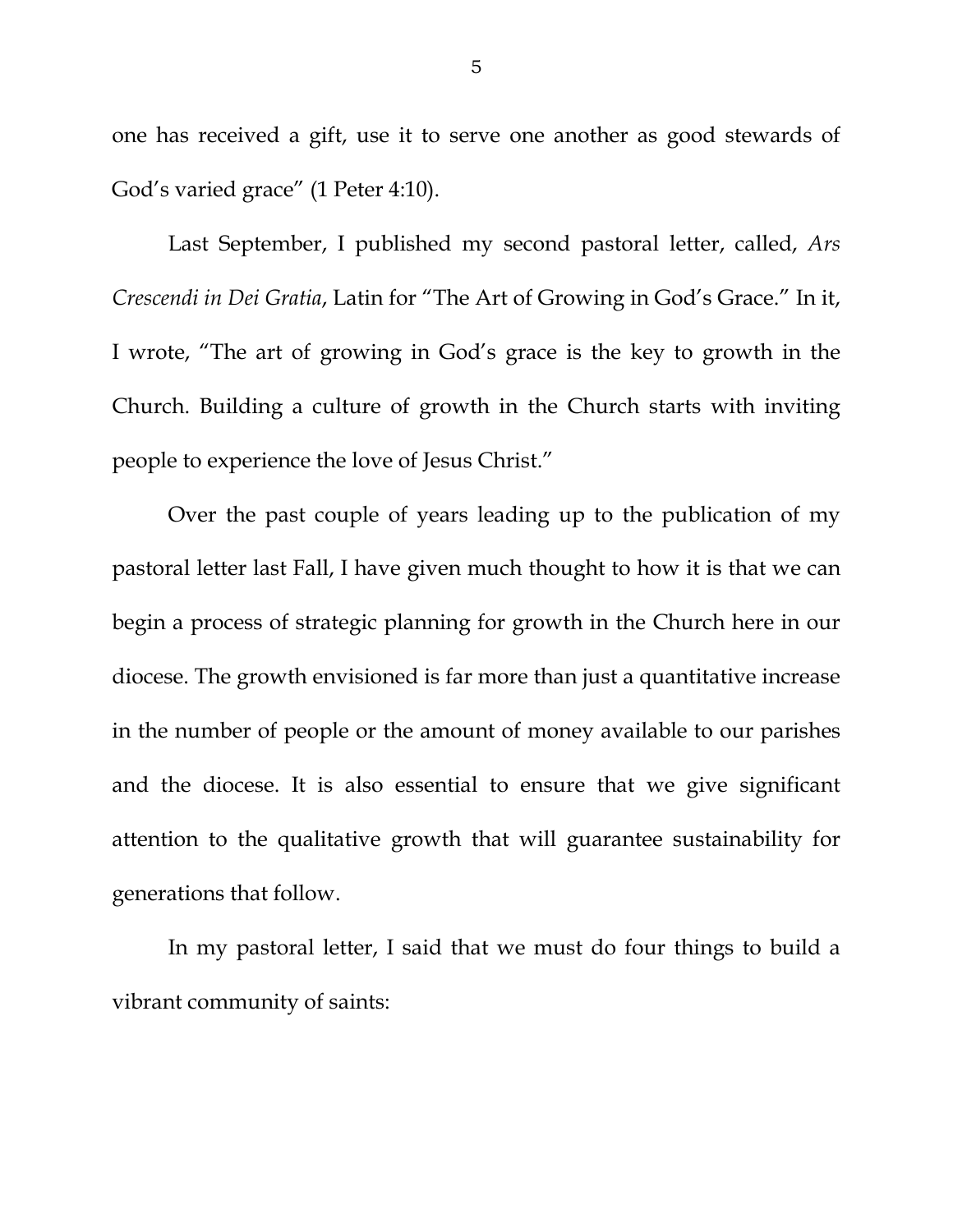one has received a gift, use it to serve one another as good stewards of God's varied grace" (1 Peter 4:10).

Last September, I published my second pastoral letter, called, *Ars Crescendi in Dei Gratia*, Latin for "The Art of Growing in God's Grace." In it, I wrote, "The art of growing in God's grace is the key to growth in the Church. Building a culture of growth in the Church starts with inviting people to experience the love of Jesus Christ."

Over the past couple of years leading up to the publication of my pastoral letter last Fall, I have given much thought to how it is that we can begin a process of strategic planning for growth in the Church here in our diocese. The growth envisioned is far more than just a quantitative increase in the number of people or the amount of money available to our parishes and the diocese. It is also essential to ensure that we give significant attention to the qualitative growth that will guarantee sustainability for generations that follow.

In my pastoral letter, I said that we must do four things to build a vibrant community of saints: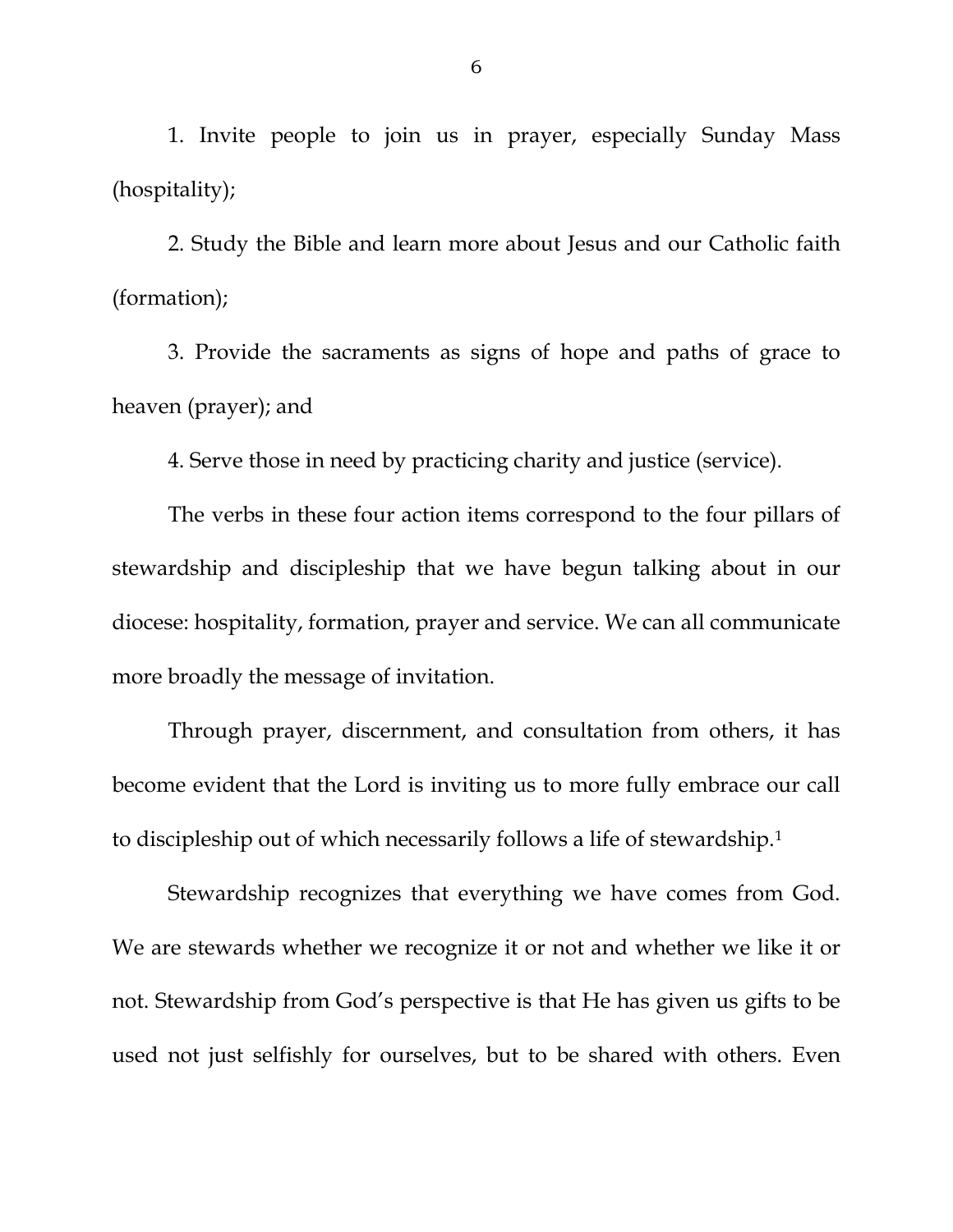1. Invite people to join us in prayer, especially Sunday Mass (hospitality);

2. Study the Bible and learn more about Jesus and our Catholic faith (formation);

3. Provide the sacraments as signs of hope and paths of grace to heaven (prayer); and

4. Serve those in need by practicing charity and justice (service).

The verbs in these four action items correspond to the four pillars of stewardship and discipleship that we have begun talking about in our diocese: hospitality, formation, prayer and service. We can all communicate more broadly the message of invitation.

Through prayer, discernment, and consultation from others, it has become evident that the Lord is inviting us to more fully embrace our call to discipleship out of which necessarily follows a life of stewardship.[1](#page-2-0) 

Stewardship recognizes that everything we have comes from God. We are stewards whether we recognize it or not and whether we like it or not. Stewardship from God's perspective is that He has given us gifts to be used not just selfishly for ourselves, but to be shared with others. Even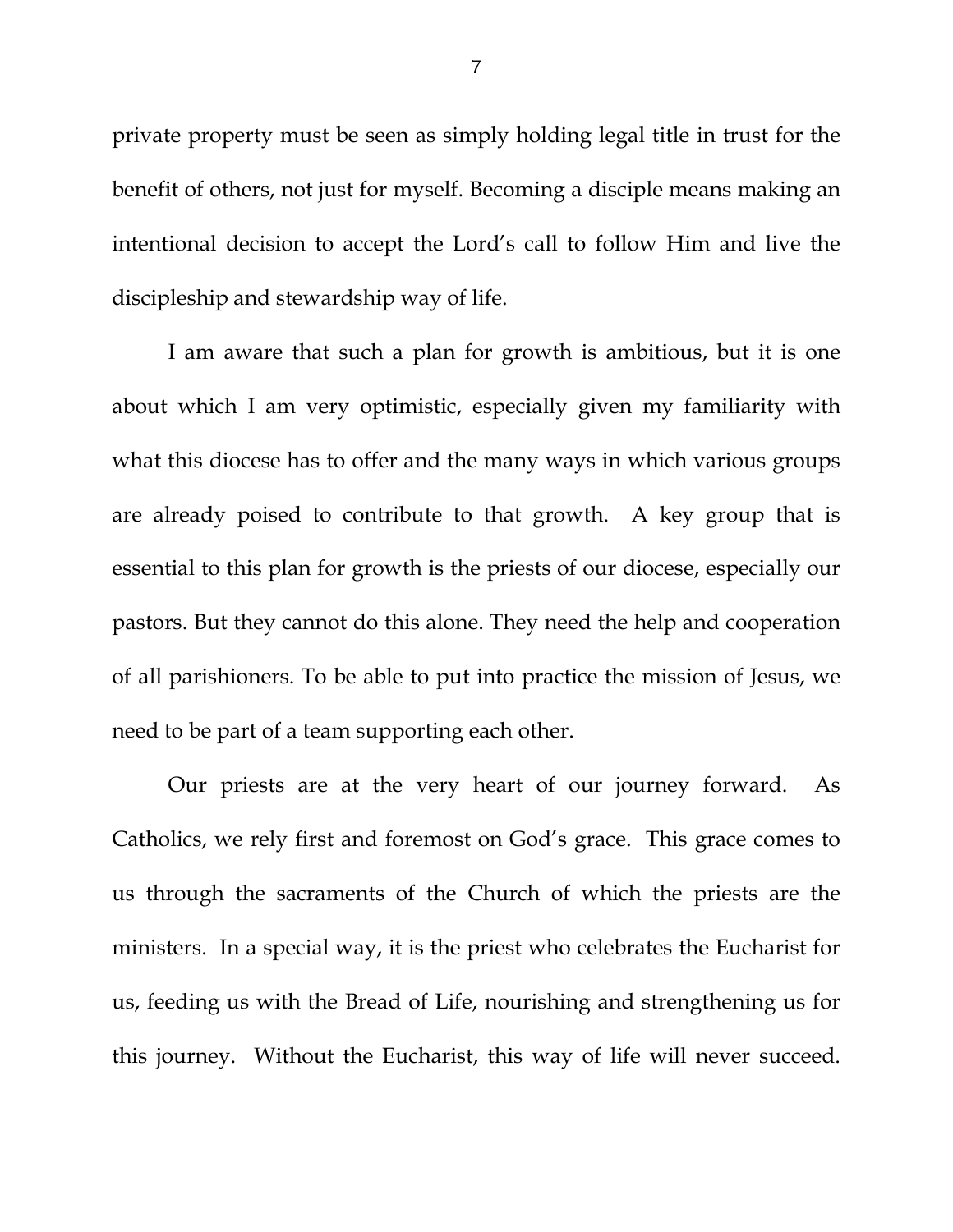private property must be seen as simply holding legal title in trust for the benefit of others, not just for myself. Becoming a disciple means making an intentional decision to accept the Lord's call to follow Him and live the discipleship and stewardship way of life.

I am aware that such a plan for growth is ambitious, but it is one about which I am very optimistic, especially given my familiarity with what this diocese has to offer and the many ways in which various groups are already poised to contribute to that growth. A key group that is essential to this plan for growth is the priests of our diocese, especially our pastors. But they cannot do this alone. They need the help and cooperation of all parishioners. To be able to put into practice the mission of Jesus, we need to be part of a team supporting each other.

Our priests are at the very heart of our journey forward. As Catholics, we rely first and foremost on God's grace. This grace comes to us through the sacraments of the Church of which the priests are the ministers. In a special way, it is the priest who celebrates the Eucharist for us, feeding us with the Bread of Life, nourishing and strengthening us for this journey. Without the Eucharist, this way of life will never succeed.

7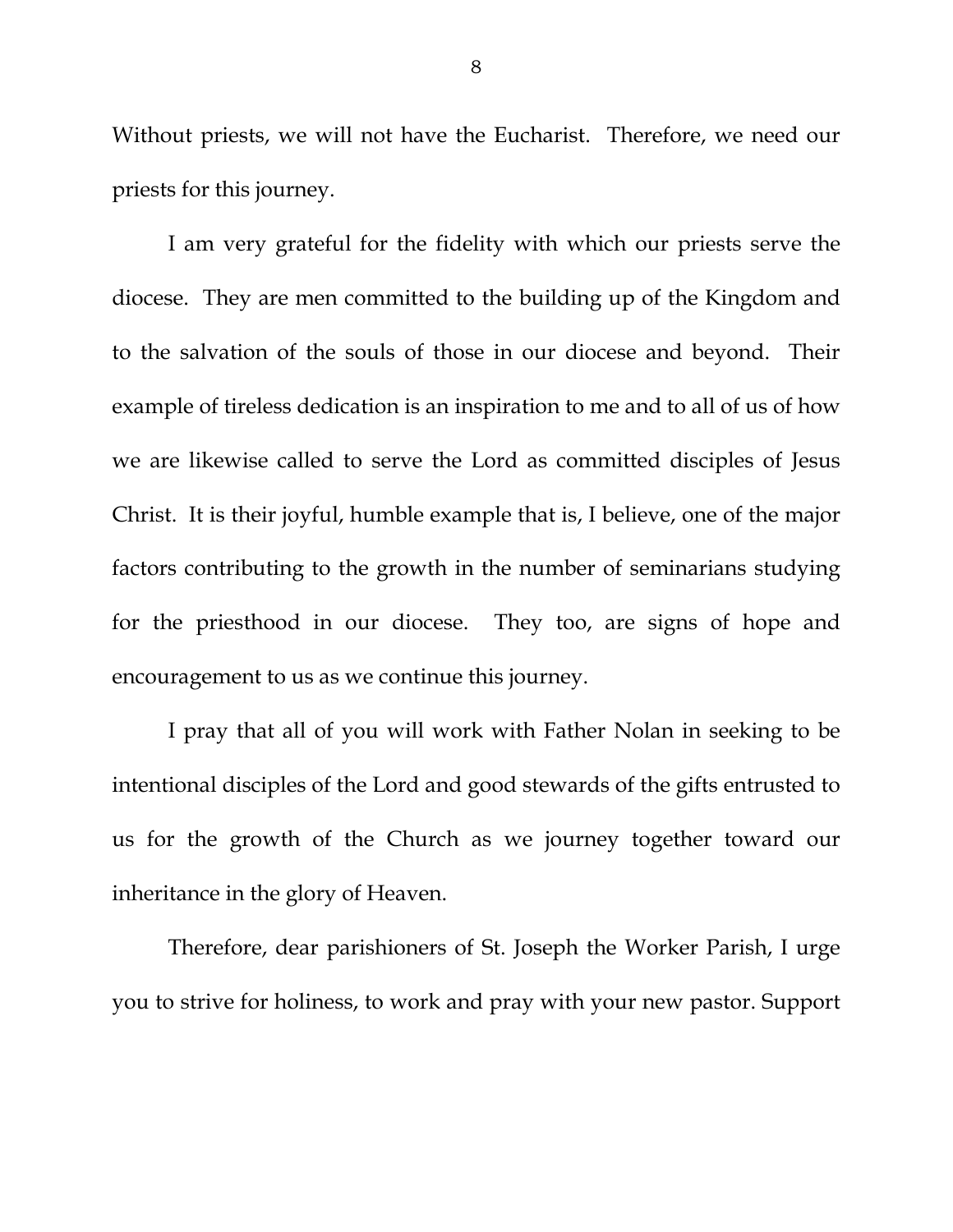Without priests, we will not have the Eucharist. Therefore, we need our priests for this journey.

I am very grateful for the fidelity with which our priests serve the diocese. They are men committed to the building up of the Kingdom and to the salvation of the souls of those in our diocese and beyond. Their example of tireless dedication is an inspiration to me and to all of us of how we are likewise called to serve the Lord as committed disciples of Jesus Christ. It is their joyful, humble example that is, I believe, one of the major factors contributing to the growth in the number of seminarians studying for the priesthood in our diocese. They too, are signs of hope and encouragement to us as we continue this journey.

I pray that all of you will work with Father Nolan in seeking to be intentional disciples of the Lord and good stewards of the gifts entrusted to us for the growth of the Church as we journey together toward our inheritance in the glory of Heaven.

Therefore, dear parishioners of St. Joseph the Worker Parish, I urge you to strive for holiness, to work and pray with your new pastor. Support